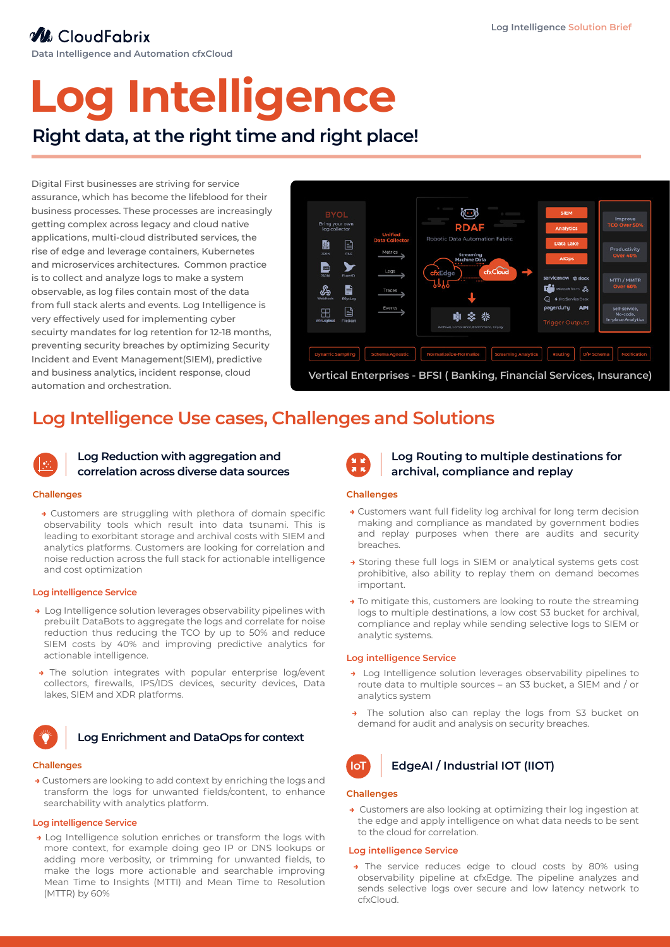## **W** CloudFabrix

**Data Intelligence and Automation cfxCloud**

# **Log Intelligence**

## **Right data, at the right time and right place!**

Digital First businesses are striving for service assurance, which has become the lifeblood for their business processes. These processes are increasingly getting complex across legacy and cloud native applications, multi-cloud distributed services, the rise of edge and leverage containers, Kubernetes and microservices architectures. Common practice is to collect and analyze logs to make a system observable, as log files contain most of the data from full stack alerts and events. Log Intelligence is very effectively used for implementing cyber secuirty mandates for log retention for 12-18 months, preventing security breaches by optimizing Security Incident and Event Management(SIEM), predictive and business analytics, incident response, cloud automation and orchestration.



## **Log Intelligence Use cases, Challenges and Solutions**



#### **Log Reduction with aggregation and correlation across diverse data sources**

#### **Challenges**

**→** Customers are struggling with plethora of domain specific observability tools which result into data tsunami. This is leading to exorbitant storage and archival costs with SIEM and analytics platforms. Customers are looking for correlation and noise reduction across the full stack for actionable intelligence and cost optimization

#### **Log intelligence Service**

- **→** Log Intelligence solution leverages observability pipelines with prebuilt DataBots to aggregate the logs and correlate for noise reduction thus reducing the TCO by up to 50% and reduce SIEM costs by 40% and improving predictive analytics for actionable intelligence.
- **→** The solution integrates with popular enterprise log/event collectors, firewalls, IPS/IDS devices, security devices, Data lakes, SIEM and XDR platforms.



#### **Log Enrichment and DataOps for context**

#### **Challenges**

**→** Customers are looking to add context by enriching the logs and transform the logs for unwanted fields/content, to enhance searchability with analytics platform.

#### **Log intelligence Service**

**→** Log Intelligence solution enriches or transform the logs with more context, for example doing geo IP or DNS lookups or adding more verbosity, or trimming for unwanted fields, to make the logs more actionable and searchable improving Mean Time to Insights (MTTI) and Mean Time to Resolution (MTTR) by 60%



#### **Log Routing to multiple destinations for archival, compliance and replay**

#### **Challenges**

- **→** Customers want full fidelity log archival for long term decision making and compliance as mandated by government bodies and replay purposes when there are audits and security breaches.
- **→** Storing these full logs in SIEM or analytical systems gets cost prohibitive, also ability to replay them on demand becomes important.
- **→** To mitigate this, customers are looking to route the streaming logs to multiple destinations, a low cost S3 bucket for archival, compliance and replay while sending selective logs to SIEM or analytic systems.

#### **Log intelligence Service**

- **→** Log Intelligence solution leverages observability pipelines to route data to multiple sources – an S3 bucket, a SIEM and / or analytics system
- The solution also can replay the logs from S3 bucket on demand for audit and analysis on security breaches.



#### **Challenges**

**→** Customers are also looking at optimizing their log ingestion at the edge and apply intelligence on what data needs to be sent to the cloud for correlation.

#### **Log intelligence Service**

**→** The service reduces edge to cloud costs by 80% using observability pipeline at cfxEdge. The pipeline analyzes and sends selective logs over secure and low latency network to cfxCloud.